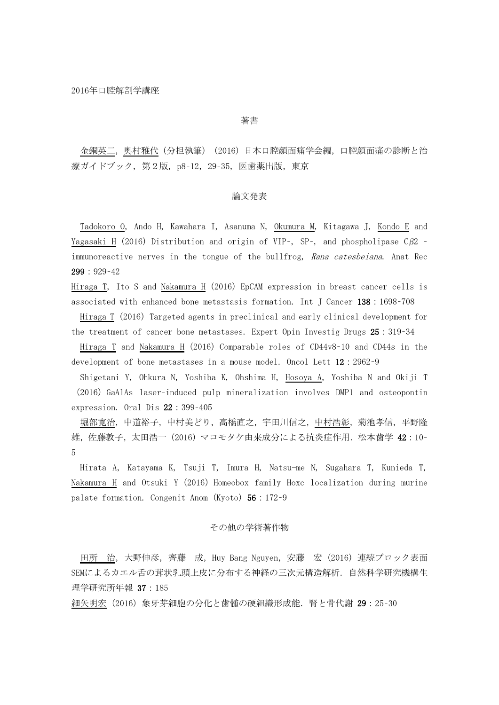著書

金銅英二,奥村雅代(分担執筆)(2016)日本口腔顔面痛学会編,口腔顔面痛の診断と治 療ガイドブック, 第2版, p8-12, 29-35, 医歯薬出版, 東京

### 論文発表

Tadokoro O, Ando H, Kawahara I, Asanuma N, Okumura M, Kitagawa J, Kondo E and <u>Yagasaki H</u> (2016) Distribution and origin of VIP-, SP-, and phospholipase C $\beta$ 2 immunoreactive nerves in the tongue of the bullfrog, Rana catesbeiana. Anat Rec 299:929–42

Hiraga T, Ito S and Nakamura H (2016) EpCAM expression in breast cancer cells is associated with enhanced bone metastasis formation. Int J Cancer 138:1698–708

Hiraga T (2016) Targeted agents in preclinical and early clinical development for the treatment of cancer bone metastases. Expert Opin Investig Drugs 25:319–34

Hiraga T and Nakamura H (2016) Comparable roles of CD44v8-10 and CD44s in the development of bone metastases in a mouse model. Oncol Lett 12:2962–9

Shigetani Y, Ohkura N, Yoshiba K, Ohshima H, Hosoya A, Yoshiba N and Okiji T (2016) GaAlAs laser-induced pulp mineralization involves DMP1 and osteopontin expression. Oral Dis 22:399–405

堀部寛治,中道裕子,中村美どり,高橋直之,宇田川信之,中村浩彰,菊池孝信,平野隆 雄,佐藤敦子,太田浩一(2016)マコモタケ由来成分による抗炎症作用.松本歯学 42:10– 5

Hirata A, Katayama K, Tsuji T, Imura H, Natsu-me N, Sugahara T, Kunieda T, Nakamura H and Otsuki Y (2016) Homeobox family Hoxc localization during murine palate formation. Congenit Anom (Kyoto) 56:172–9

# その他の学術著作物

田所 治,大野伸彦,齊藤 成,Huy Bang Nguyen,安藤 宏(2016)連続ブロック表面 SEMによるカエル舌の茸状乳頭上皮に分布する神経の三次元構造解析.自然科学研究機構生 理学研究所年報 37:185

細矢明宏(2016) 象牙芽細胞の分化と歯髄の硬組織形成能. 腎と骨代謝 29:25-30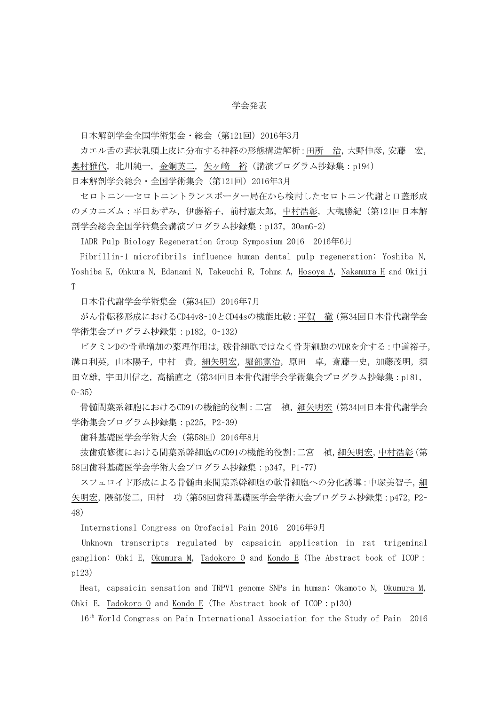## 学会発表

日本解剖学会全国学術集会・総会(第121回)2016年3月

カエル舌の茸状乳頭上皮に分布する神経の形態構造解析:田所 治,大野伸彦,安藤 宏, 奥村雅代,北川純一,金銅英二,矢ヶ﨑 裕(講演プログラム抄録集:p194)

日本解剖学会総会・全国学術集会 (第121回) 2016年3月

セロトニン─セロトニントランスポーター局在から検討したセロトニン代謝と口蓋形成 のメカニズム:平田あずみ,伊藤裕子,前村憲太郎,中村浩彰,大槻勝紀(第121回日本解 剖学会総会全国学術集会講演プログラム抄録集:p137,3OamG–2)

IADR Pulp Biology Regeneration Group Symposium 2016 2016年6月

Fibrillin–1 microfibrils influence human dental pulp regeneration: Yoshiba N, Yoshiba K, Ohkura N, Edanami N, Takeuchi R, Tohma A, Hosoya A, Nakamura H and Okiji T

日本骨代謝学会学術集会(第34回)2016年7月

がん骨転移形成におけるCD44v8–10とCD44sの機能比較:平賀 徹(第34回日本骨代謝学会 学術集会プログラム抄録集:p182, 0-132)

ビタミンDの骨量増加の薬理作用は,破骨細胞ではなく骨芽細胞のVDRを介する:中道裕子, 溝口利英,山本陽子,中村 貴,細矢明宏,堀部寛治,原田 卓,斎藤一史,加藤茂明,須 田立雄,宇田川信之,高橋直之(第34回日本骨代謝学会学術集会プログラム抄録集:p181, O–35)

骨髄間葉系細胞におけるCD91の機能的役割:二宮 禎, 細矢明宏 (第34回日本骨代謝学会 学術集会プログラム抄録集: p225, P2-39)

歯科基礎医学会学術大会(第58回)2016年8月

抜歯痕修復における間葉系幹細胞のCD91の機能的役割:二宮 禎,細矢明宏,中村浩彰(第 58回歯科基礎医学会学術大会プログラム抄録集:p347, P1-77)

スフェロイド形成による骨髄由来間葉系幹細胞の軟骨細胞への分化誘導:中塚美智子,細 矢明宏,隈部俊二,田村 功 (第58回歯科基礎医学会学術大会プログラム抄録集:p472, P2-48)

International Congress on Orofacial Pain 2016 2016年9月

Unknown transcripts regulated by capsaicin application in rat trigeminal ganglion: Ohki E, Okumura M, Tadokoro O and Kondo E(The Abstract book of ICOP: p123)

Heat, capsaicin sensation and TRPV1 genome SNPs in human: Okamoto N, Okumura M, Ohki E, Tadokoro O and Kondo E (The Abstract book of ICOP: p130)

16th World Congress on Pain International Association for the Study of Pain 2016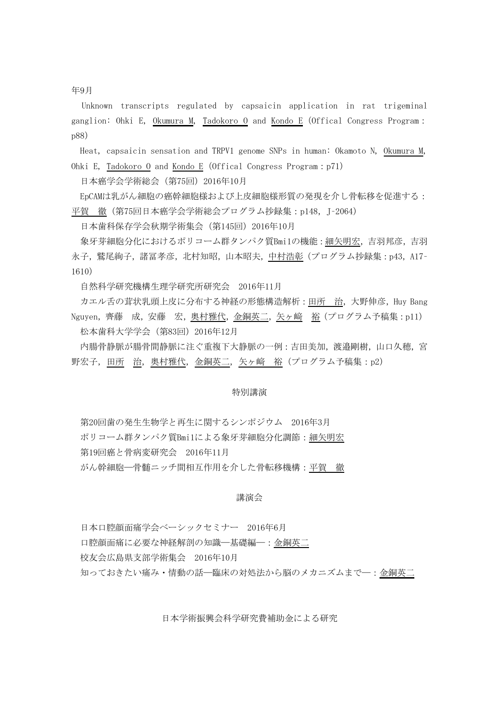年9月

Unknown transcripts regulated by capsaicin application in rat trigeminal ganglion: Ohki E, Okumura M, Tadokoro O and Kondo E (Offical Congress Program: p88)

Heat, capsaicin sensation and TRPV1 genome SNPs in human: Okamoto N, Okumura M, Ohki E, Tadokoro O and Kondo E (Offical Congress Program: p71)

日本癌学会学術総会(第75回)2016年10月

EpCAMは乳がん細胞の癌幹細胞様および上皮細胞様形質の発現を介し骨転移を促進する: 平賀 徹(第75回日本癌学会学術総会プログラム抄録集: p148, J-2064)

日本歯科保存学会秋期学術集会(第145回)2016年10月

象牙芽細胞分化におけるポリコーム群タンパク質Bmi1の機能:細矢明宏,吉羽邦彦,吉羽 永子,鷲尾絢子,諸冨孝彦,北村知昭,山本昭夫,中村浩彰(プログラム抄録集:p43, A17-1610)

自然科学研究機構生理学研究所研究会 2016年11月

カエル舌の茸状乳頭上皮に分布する神経の形態構造解析: 田所 治, 大野伸彦, Huy Bang Nguyen,齊藤 成,安藤 宏,奥村雅代,金銅英二,矢ヶ﨑 裕(プログラム予稿集:p11) 松本歯科大学学会(第83回)2016年12月

内腸骨静脈が腸骨間静脈に注ぐ重複下大静脈の一例:吉田美加,渡邉剛樹,山口久穂,宮 野宏子,田所 治,奥村雅代,金銅英二,矢ヶ﨑 裕(プログラム予稿集:p2)

#### 特別講演

第20回歯の発生生物学と再生に関するシンポジウム 2016年3月 ポリコーム群タンパク質Bmi1による象牙芽細胞分化調節:細矢明宏 第19回癌と骨病変研究会 2016年11月 がん幹細胞─骨髄ニッチ間相互作用を介した骨転移機構:平賀 徹

#### 講演会

日本口腔顔面痛学会ベーシックセミナー 2016年6月 口腔顔面痛に必要な神経解剖の知識─基礎編─:金銅英二 校友会広島県支部学術集会 2016年10月 知っておきたい痛み・情動の話―臨床の対処法から脳のメカニズムまで―:金銅英二

日本学術振興会科学研究費補助金による研究